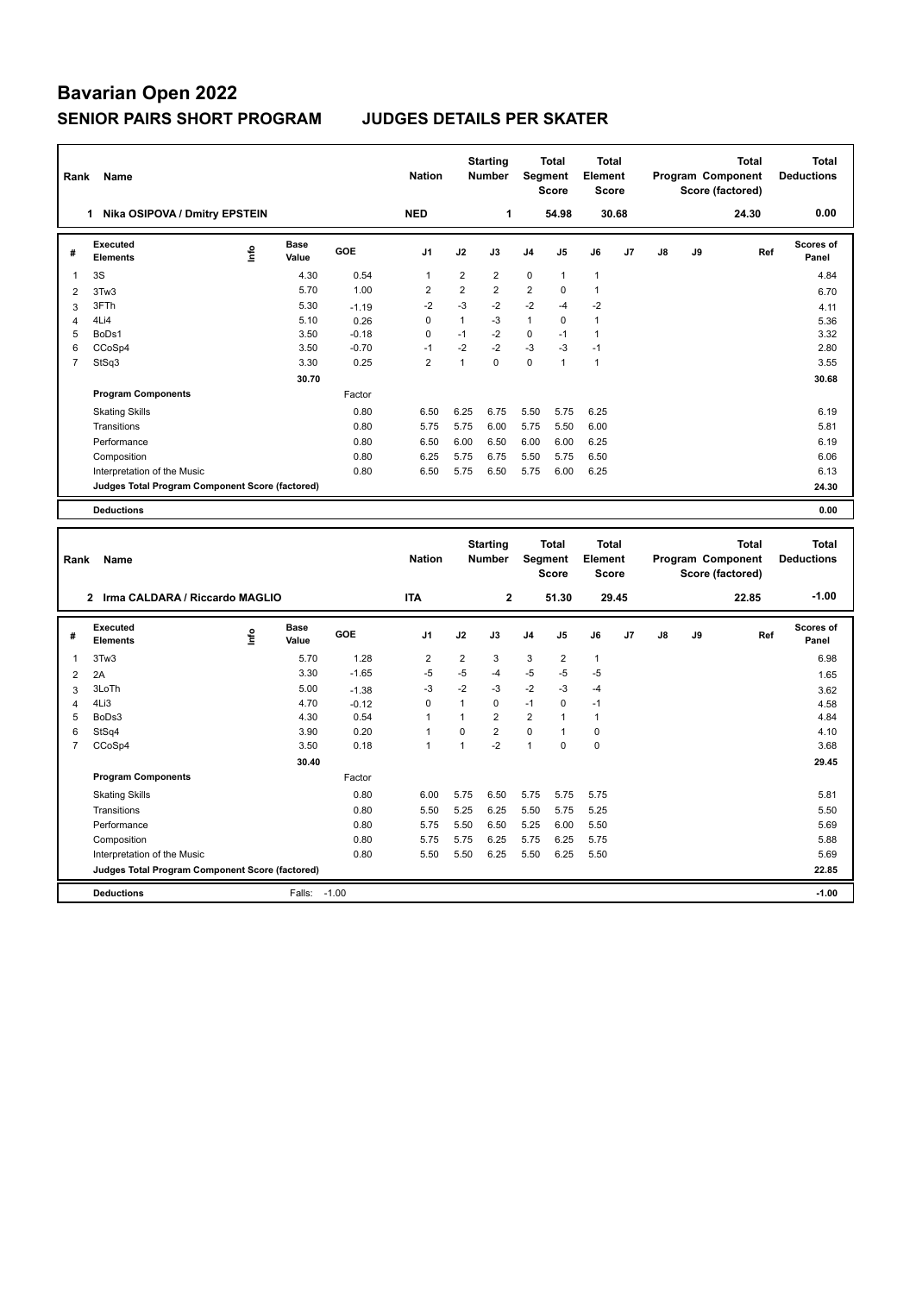## **Bavarian Open 2022 SENIOR PAIRS SHORT PROGRAM JUDGES DETAILS PER SKATER**

| Rank           | Name                                            |      |                      |            | <b>Nation</b>  |                  | <b>Starting</b><br><b>Number</b> |                | <b>Total</b><br>Segment<br><b>Score</b> | <b>Total</b><br>Element<br><b>Score</b> |    |    |    | <b>Total</b><br>Program Component<br>Score (factored) |     | <b>Total</b><br><b>Deductions</b> |
|----------------|-------------------------------------------------|------|----------------------|------------|----------------|------------------|----------------------------------|----------------|-----------------------------------------|-----------------------------------------|----|----|----|-------------------------------------------------------|-----|-----------------------------------|
|                | 1 Nika OSIPOVA / Dmitry EPSTEIN                 |      |                      |            | <b>NED</b>     |                  | 1                                |                | 54.98                                   | 30.68                                   |    |    |    | 24.30                                                 |     | 0.00                              |
| #              | <b>Executed</b><br>Elements                     | lnfo | <b>Base</b><br>Value | <b>GOE</b> | J <sub>1</sub> | J2               | J3                               | J4             | J5                                      | J6                                      | J7 | J8 | J9 |                                                       | Ref | <b>Scores of</b><br>Panel         |
| 1              | 3S                                              |      | 4.30                 | 0.54       | $\mathbf{1}$   | $\boldsymbol{2}$ | $\overline{2}$                   | $\Omega$       | $\mathbf{1}$                            | $\mathbf{1}$                            |    |    |    |                                                       |     | 4.84                              |
| $\overline{2}$ | 3Tw3                                            |      | 5.70                 | 1.00       | $\overline{2}$ | $\overline{2}$   | $\overline{2}$                   | $\overline{2}$ | $\mathbf 0$                             | $\mathbf{1}$                            |    |    |    |                                                       |     | 6.70                              |
| 3              | 3FTh                                            |      | 5.30                 | $-1.19$    | $-2$           | $-3$             | $-2$                             | $-2$           | $-4$                                    | $-2$                                    |    |    |    |                                                       |     | 4.11                              |
| $\overline{4}$ | 4Li4                                            |      | 5.10                 | 0.26       | $\mathbf 0$    | $\mathbf{1}$     | $-3$                             | $\mathbf{1}$   | $\Omega$                                | $\mathbf{1}$                            |    |    |    |                                                       |     | 5.36                              |
| 5              | BoDs1                                           |      | 3.50                 | $-0.18$    | $\mathbf 0$    | $-1$             | $-2$                             | 0              | $-1$                                    | $\mathbf{1}$                            |    |    |    |                                                       |     | 3.32                              |
| 6              | CCoSp4                                          |      | 3.50                 | $-0.70$    | $-1$           | $-2$             | $-2$                             | $-3$           | $-3$                                    | $-1$                                    |    |    |    |                                                       |     | 2.80                              |
| $\overline{7}$ | StSq3                                           |      | 3.30                 | 0.25       | $\overline{2}$ | $\mathbf{1}$     | $\Omega$                         | 0              | $\mathbf{1}$                            | $\mathbf{1}$                            |    |    |    |                                                       |     | 3.55                              |
|                |                                                 |      | 30.70                |            |                |                  |                                  |                |                                         |                                         |    |    |    |                                                       |     | 30.68                             |
|                | <b>Program Components</b>                       |      |                      | Factor     |                |                  |                                  |                |                                         |                                         |    |    |    |                                                       |     |                                   |
|                | <b>Skating Skills</b>                           |      |                      | 0.80       | 6.50           | 6.25             | 6.75                             | 5.50           | 5.75                                    | 6.25                                    |    |    |    |                                                       |     | 6.19                              |
|                | Transitions                                     |      |                      | 0.80       | 5.75           | 5.75             | 6.00                             | 5.75           | 5.50                                    | 6.00                                    |    |    |    |                                                       |     | 5.81                              |
|                | Performance                                     |      |                      | 0.80       | 6.50           | 6.00             | 6.50                             | 6.00           | 6.00                                    | 6.25                                    |    |    |    |                                                       |     | 6.19                              |
|                | Composition                                     |      |                      | 0.80       | 6.25           | 5.75             | 6.75                             | 5.50           | 5.75                                    | 6.50                                    |    |    |    |                                                       |     | 6.06                              |
|                | Interpretation of the Music                     |      |                      | 0.80       | 6.50           | 5.75             | 6.50                             | 5.75           | 6.00                                    | 6.25                                    |    |    |    |                                                       |     | 6.13                              |
|                | Judges Total Program Component Score (factored) |      |                      |            |                |                  |                                  |                |                                         |                                         |    |    |    |                                                       |     | 24.30                             |
|                | <b>Deductions</b>                               |      |                      |            |                |                  |                                  |                |                                         |                                         |    |    |    |                                                       |     | 0.00                              |
|                |                                                 |      |                      |            |                |                  |                                  |                |                                         |                                         |    |    |    |                                                       |     |                                   |
|                |                                                 |      |                      |            |                |                  |                                  |                |                                         |                                         |    |    |    |                                                       |     |                                   |
|                |                                                 |      |                      |            |                |                  |                                  |                |                                         | <b>Total</b>                            |    |    |    | <b>Total</b>                                          |     | <b>Total</b>                      |
| Rank           | Name                                            |      |                      |            | <b>Nation</b>  |                  | <b>Starting</b><br>Number        |                | <b>Total</b><br>Segment                 | Element                                 |    |    |    | Program Component                                     |     | <b>Deductions</b>                 |
|                |                                                 |      |                      |            |                |                  |                                  |                | <b>Score</b>                            | <b>Score</b>                            |    |    |    | Score (factored)                                      |     |                                   |
|                |                                                 |      |                      |            |                |                  |                                  |                |                                         |                                         |    |    |    |                                                       |     | $-1.00$                           |
|                | 2 Irma CALDARA / Riccardo MAGLIO                |      |                      |            | <b>ITA</b>     |                  | $\mathbf 2$                      |                | 51.30                                   | 29.45                                   |    |    |    | 22.85                                                 |     |                                   |
| #              | <b>Executed</b><br><b>Elements</b>              | lnfo | <b>Base</b><br>Value | <b>GOE</b> | J <sub>1</sub> | J2               | J3                               | J4             | J5                                      | J6                                      | J7 | J8 | J9 |                                                       | Ref | Scores of<br>Panel                |
| 1              | 3Tw3                                            |      | 5.70                 | 1.28       | $\overline{2}$ | $\overline{2}$   | 3                                | 3              | $\overline{2}$                          | $\mathbf{1}$                            |    |    |    |                                                       |     | 6.98                              |
| $\overline{2}$ | 2A                                              |      | 3.30                 | $-1.65$    | $-5$           | $-5$             | -4                               | $-5$           | $-5$                                    | $-5$                                    |    |    |    |                                                       |     | 1.65                              |
| 3              | 3LoTh                                           |      | 5.00                 | $-1.38$    | $-3$           | $-2$             | $-3$                             | $-2$           | $-3$                                    | $-4$                                    |    |    |    |                                                       |     | 3.62                              |
| 4              | 4Li3                                            |      | 4.70                 | $-0.12$    | $\mathbf 0$    | $\mathbf{1}$     | $\mathbf 0$                      | $-1$           | $\mathbf 0$                             | $-1$                                    |    |    |    |                                                       |     | 4.58                              |
| 5              | BoDs3                                           |      | 4.30                 | 0.54       | $\mathbf{1}$   | $\mathbf{1}$     | $\overline{2}$                   | $\overline{2}$ | 1                                       | $\mathbf{1}$                            |    |    |    |                                                       |     | 4.84                              |
| 6              | StSq4                                           |      | 3.90                 | 0.20       | $\mathbf{1}$   | $\pmb{0}$        | $\overline{2}$                   | 0              | 1                                       | $\mathbf 0$                             |    |    |    |                                                       |     | 4.10                              |
| $\overline{7}$ | CCoSp4                                          |      | 3.50                 | 0.18       | $\mathbf{1}$   | $\mathbf{1}$     | $-2$                             | $\mathbf{1}$   | $\mathbf 0$                             | $\mathbf 0$                             |    |    |    |                                                       |     | 3.68                              |
|                |                                                 |      | 30.40                |            |                |                  |                                  |                |                                         |                                         |    |    |    |                                                       |     | 29.45                             |
|                | <b>Program Components</b>                       |      |                      | Factor     |                |                  |                                  |                |                                         |                                         |    |    |    |                                                       |     |                                   |
|                | <b>Skating Skills</b>                           |      |                      | 0.80       | 6.00           | 5.75             | 6.50                             | 5.75           | 5.75                                    | 5.75                                    |    |    |    |                                                       |     | 5.81                              |
|                | Transitions                                     |      |                      | 0.80       | 5.50           | 5.25             | 6.25                             | 5.50           | 5.75                                    | 5.25                                    |    |    |    |                                                       |     | 5.50                              |
|                | Performance                                     |      |                      | 0.80       | 5.75           | 5.50             | 6.50                             | 5.25           | 6.00                                    | 5.50                                    |    |    |    |                                                       |     | 5.69                              |
|                | Composition                                     |      |                      | 0.80       | 5.75           | 5.75             | 6.25                             | 5.75           | 6.25                                    | 5.75                                    |    |    |    |                                                       |     | 5.88                              |
|                | Interpretation of the Music                     |      |                      | 0.80       | 5.50           | 5.50             | 6.25                             | 5.50           | 6.25                                    | 5.50                                    |    |    |    |                                                       |     | 5.69                              |

**Deductions** Falls: -1.00 **-1.00**